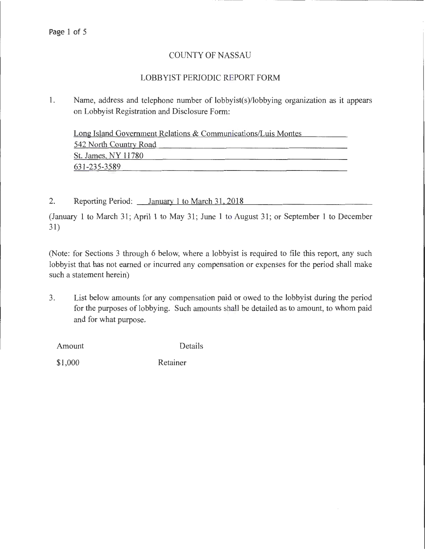### COUNTY OF NASSAU

### LOBBYIST PERIODIC REPORT FORM

1. Name, address and telephone number of lobbyist(s)/lobbying organization as it appears on Lobbyist Registration and Disclosure Form:

Long Island Government Relations & Communications/Luis Montes 542 North Country Road St. James, NY 11780 631-235-3589

2. Reporting Period: *January* 1 to March 31, 2018

(January 1 to March 31; April 1 to May 31; June 1 to August 31; or September 1 to December 31)

(Note: for Sections 3 through 6 below, where a lobbyist is required to file this report, any such lobbyist that has not earned or incurred any compensation or expenses for the period shall make such a statement herein)

3. List below amounts for any compensation paid or owed to the lobbyist during the period for the purposes of lobbying. Such amounts shall be detailed as to amount, to whom paid and for what purpose.

Amount Details

\$1,000 Retainer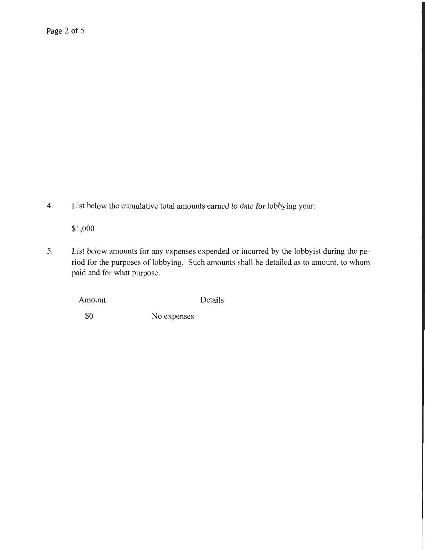4. List below the cumulative total amounts earned to date for lobbying year:

\$1,000

5. List below amounts for any expenses expended or incurred by the lobbyist during the period for the purposes of lobbying. Such amounts shall be detailed as to amount, to whom paid and for what purpose.

Amount Details

\$0 No expenses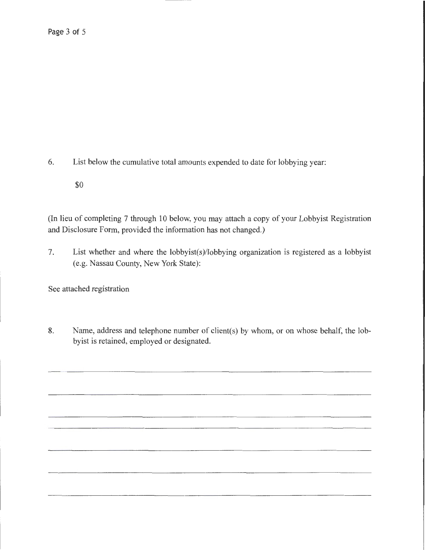6. List below the cumulative total amounts expended to date for lobbying year:

\$0

(In lieu of completing 7 through 10 below, you may attach a copy of your Lobbyist Registration and Disclosure Form, provided the information has not changed.)

7. List whether and where the lobbyist(s)/lobbying organization is registered as a lobbyist (e.g. Nassau County, New York State):

See attached registration

8. Name, address and telephone number of client(s) by whom, or on whose behalf, the lobbyist is retained, employed or designated.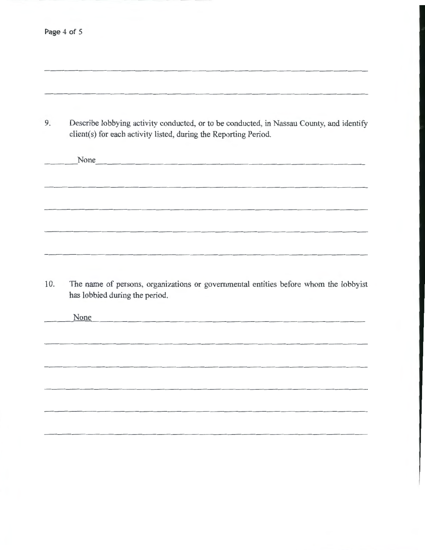| Describe lobbying activity conducted, or to be conducted, in Nassau County, and identify |
|------------------------------------------------------------------------------------------|
| client(s) for each activity listed, during the Reporting Period.                         |

None **None** 

10. The name of persons, organizations or governmental entities before whom the lobbyist has lobbied during the period.

None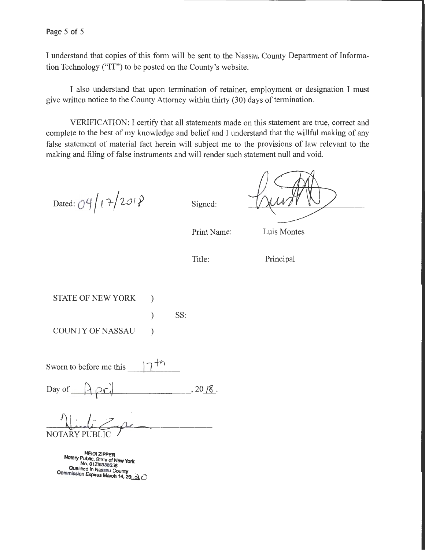I understand that copies of this form will be sent to the Nassau County Department of Information Technology ("IT") to be posted on the County's website.

I also understand that upon termination of retainer, employment or designation I must give written notice to the County Attorney within thirty (30) days of termination.

VERIFICATION: I certify that all statements made on this statement are true, correct and complete to the best of my knowledge and belief and I understand that the willful making of any false statement of material fact herein will subject me to the provisions of law relevant to the making and filing of false instruments and will render such statement null and void.

Dated: 04/17/2018

Signed:

Print Name:

Luis Montes

Title:

Principal

STATE OF NEW YORK ) ) SS: COUNTY OF NASSAU (1)

Sworn to before me this

Day of  $Aperi$ 

NOTARY PI

HEIDI ZIPPER<br>Notary Public, State of New York<br>No. 01ZI6338658 **Coalified in Nassau County Commission Expires March 14, 20**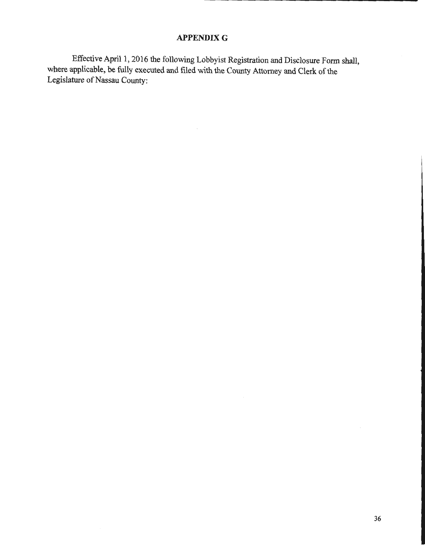### **APPENDIXG**

Effective April 1, 2016 the following Lobbyist Registration and Disclosure Form shall, where applicable, be fully executed and filed with the County Attorney and Clerk of the Legislature of Nassau County:

 $\overline{\phantom{a}}$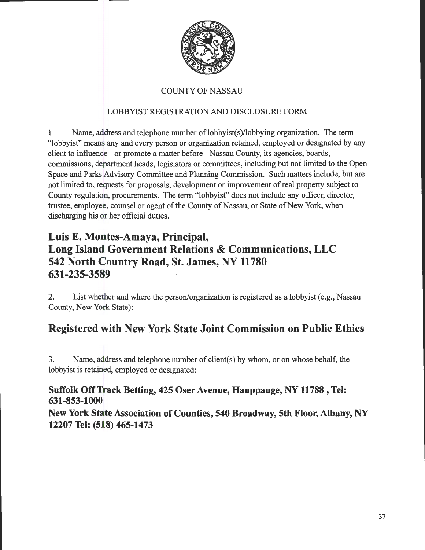

### COUNTY OF NASSAU

### LOBBYIST REGISTRATION AND DISCLOSURE FORM

1. Name, address and telephone number of lobbyist(s)/lobbying organization. The term "lobbyist" means any and every person or organization retained, employed or designated by any client to influence- or promote a matter before- Nassau County, its agencies, boards, commissions, department heads, legislators or committees, including but not limited to the Open Space and Parks Advisory Committee and Planning Commission. Such matters include, but are not limited to, requests for proposals, development or improvement of real property subject to County regulation, procurements. The term "lobbyist" does not include any officer, director, trustee, employee, counsel or agent of the County of Nassau, or State of New York, when discharging his or her official duties.

## **Luis E. Montes-Amaya, Principal, Long Island Government Relations & Communications, LLC 542 North Country Road, St. James, NY 11780 631-235-3589**

2. List whether and where the person/organization is registered as a lobbyist (e.g., Nassau County, New York State):

# **Registered with New York State Joint Commission on Public Ethics**

3. Name, address and telephone nwnber of client(s) by whom, or on whose behalf, the lobbyist is retained, employed or designated:

### **Suffolk Off Track Betting, 425 Oser Avenue, Hauppauge, NY 11788 , Tel: 631-853-1000**

**New York State Association of Counties, 540 Broadway, 5th Floor, Albany, NY 12207 Tel: (518) 465-1473**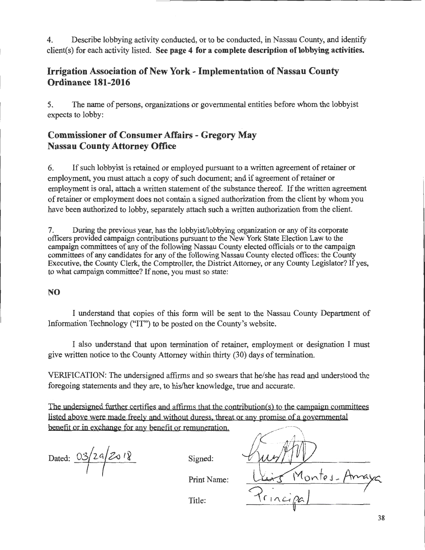4. Describe lobbying activity conducted, or to be conducted, in Nassau County, and identify client(s) for each activity listed. **See page 4 for a complete description of lobbying activities.** 

### **Irrigation Association of New York- Implementation of Nassau County Ordinance 181-2016**

5. The name of persons, organizations or governmental entities before whom the lobbyist expects to lobby:

### **Commissioner of Consumer Affairs - Gregory May Nassau County Attorney Office**

6. If such lobbyist is retained or employed pursuant to a written agreement of retainer or employment, you must attach a copy of such document; and if agreement of retainer or employment is oral, attach a written statement of the substance thereof. If the written agreement of retainer or employment does not contain a signed authorization from the client by whom you have been authorized to lobby, separately attach such a written authorization from the client.

7. During the previous year, has the lobbyist/lobbying organization or any of its corporate officers provided campaign contributions pursuant to the New York State Election Law to the campaign committees of any of the following Nassau County elected officials or to the campaign committees of any candidates for any of the following Nassau County elected offices: the County Executive, the County Clerk, the Comptroller, the District Attorney, or any County Legislator? If yes, to what campaign committee? If none, you must so state:

### **NO**

I understand that copies of this form will be sent to the Nassau County Department of Information Technology ("IT") to be posted on the County's website.

I also understand that upon termination of retainer, employment or designation I must give written notice to the County Attorney within thirty (30) days of termination.

VERIFICATION: The undersigned affirms and so swears that he/she has read and understood the foregoing statements and they are, to his/her knowledge, true and accurate.

The undersigned further certifies and affirms that the contribution(s) to the campaign committees listed above were made freely and without duress, threat or any promise of a governmental benefit or in exchange for any benefit or remuneration.

Dated:  $\frac{03}{29/29/8}$  Signed:

Print Name:

1ontes-

Title: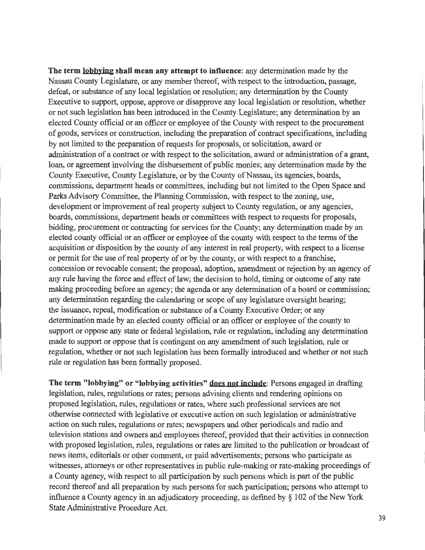**The term lobbying shall mean any attempt to influence:** any determination made by the Nassau County Legislature, or any member thereof, with respect to the introduction, passage, defeat, or substance of any local legislation or resolution; any determination by the County Executive to support, oppose, approve or disapprove any local legislation or resolution, whether or not such legislation has been introduced in the County Legislature; any determination by an elected County official or an officer or employee of the County with respect to the procurement of goods, services or construction, including the preparation of contract specifications, including by not limited to the preparation of requests for proposals, or solicitation, award or administration of a contract or with respect to the solicitation, award or administration of a grant, loan, or agreement involving the disbursement of public monies; any determination made by the County Executive, County Legislature, or by the County of Nassau, its agencies, boards, commissions, department heads or committees, including but not limited to the Open Space and Parks Advisory Committee, the Planning Commission, with respect to the zoning, use, development or improvement of real property subject to County regulation, or any agencies, boards, commissions, department heads or committees with respect to requests for proposals, bidding, procurement or contracting for services for the County; any determination made by an elected county official or an officer or employee of the county with respect to the terms of the acquisition or disposition by the county of any interest in real property, with respect to a license or permit for the use of real property of or by the county, or with respect to a franchise, concession or revocable consent; the proposal, adoption, amendment or rejection by an agency of any rule having the force and effect of law; the decision to hold, timing or outcome of any rate making proceeding before an agency; the agenda or any determination of a board or commission; any determination regarding the calendaring or scope of any legislature oversight hearing; the issuance, repeal, modification or substance of a County Executive Order; or any determination made by an elected county official or an officer or employee of the county to support or oppose any state or federal legislation, rule or regulation, including any determination made to support or oppose that is contingent on any amendment of such legislation, rule or regulation, whether or not such legislation has been formally introduced and whether or not such rule or regulation has been formally proposed.

**The term "lobbying" or "lobbying activities" does not include:** Persons engaged in drafting legislation, rules, regulations or rates; persons advising clients and rendering opinions on proposed legislation, rules, regulations or rates, where such professional services are not otherwise connected with legislative or executive action on such legislation or administrative action on such rules, regulations or rates; newspapers and other periodicals and radio and television stations and owners and employees thereof, provided that their activities in connection with proposed legislation, rules, regulations or rates are limited to the publication or broadcast of news items, editorials or other comment, or paid advertisements; persons who participate as witnesses, attorneys or other representatives in public rule-making or rate-making proceedings of a County agency, with respect to all participation by such persons which is part of the public record thereof and all preparation by such persons for such participation; persons who attempt to influence a County agency in an adjudicatory proceeding, as defmed by *§* 1 02 of the New York State Administrative Procedure Act.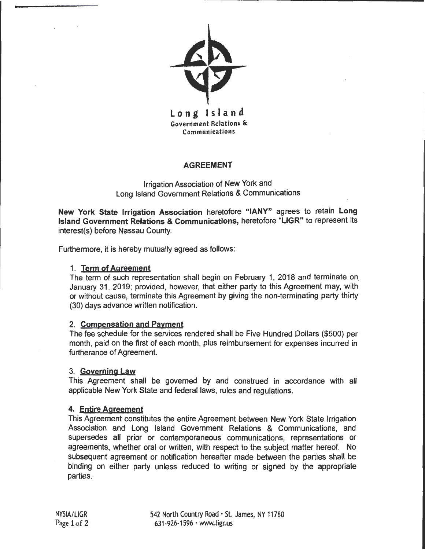

#### AGREEMENT

Irrigation Association of New York and Long Island Government Relations & Communications

New York State Irrigation Association heretofore "IANY" agrees to retain Long Island Government Relations & Communications, heretofore "LIGR" to represent its interest(s) before Nassau County.

Furthermore, it is hereby mutually agreed as follows:

### 1. Term of Agreement

The term of such representation shall begin on February 1, 2018 and terminate on January 31, 2019; provided, however, that either party to this Agreement may, with or without cause, terminate this Agreement by giving the non-terminating party thirty (30) days advance written notification.

### 2. Compensation and Payment

The fee schedule for the services rendered shall be Five Hundred Dollars (\$500) per month, paid on the first of each month, plus reimbursement for expenses incurred in furtherance of Agreement.

#### 3. Governing Law

This Agreement shall be governed by and construed in accordance with all applicable New York State and federal laws, rules and regulations.

### 4. Entire Agreement

This Agreement constitutes the entire Agreement between New York State Irrigation Association and Long Island Government Relations & Communications, and supersedes all prior or contemporaneous communications, representations or agreements, whether oral or written, with respect to the subject matter hereof. No subsequent agreement or notification hereafter made between the parties shall be binding on either party unless reduced to writing or signed by the appropriate parties.